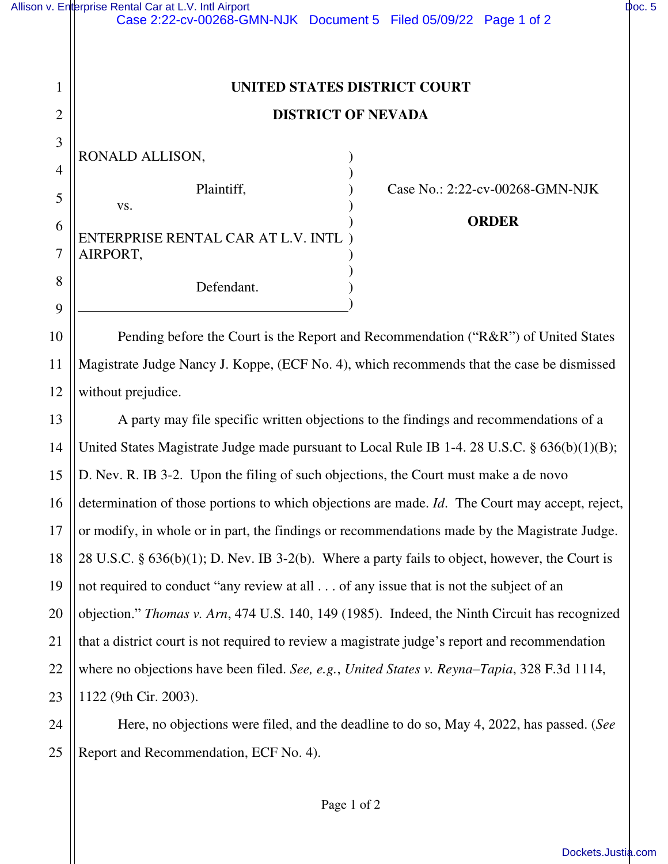|                | Allison v. Enterprise Rental Car at L.V. Intl Airport<br>Case 2:22-cv-00268-GMN-NJK Document 5 Filed 05/09/22 Page 1 of 2 | Doc. 5 |
|----------------|---------------------------------------------------------------------------------------------------------------------------|--------|
| 1              | UNITED STATES DISTRICT COURT                                                                                              |        |
| $\overline{2}$ | <b>DISTRICT OF NEVADA</b>                                                                                                 |        |
| 3              |                                                                                                                           |        |
| 4              | RONALD ALLISON,                                                                                                           |        |
| 5              | Plaintiff,<br>Case No.: 2:22-cv-00268-GMN-NJK<br>VS.                                                                      |        |
| 6              | <b>ORDER</b>                                                                                                              |        |
| 7              | ENTERPRISE RENTAL CAR AT L.V. INTL<br>AIRPORT,                                                                            |        |
| 8              | Defendant.                                                                                                                |        |
| 9              |                                                                                                                           |        |
| 10             | Pending before the Court is the Report and Recommendation ("R&R") of United States                                        |        |
| 11             | Magistrate Judge Nancy J. Koppe, (ECF No. 4), which recommends that the case be dismissed                                 |        |
| 12             | without prejudice.                                                                                                        |        |
| 13             | A party may file specific written objections to the findings and recommendations of a                                     |        |
| 14             | United States Magistrate Judge made pursuant to Local Rule IB 1-4. 28 U.S.C. § 636(b)(1)(B);                              |        |
| 15             | D. Nev. R. IB 3-2. Upon the filing of such objections, the Court must make a de novo                                      |        |
| 16             | determination of those portions to which objections are made. Id. The Court may accept, reject,                           |        |
| 17             | or modify, in whole or in part, the findings or recommendations made by the Magistrate Judge.                             |        |
| 18             | 28 U.S.C. $\S$ 636(b)(1); D. Nev. IB 3-2(b). Where a party fails to object, however, the Court is                         |        |
| 19             | not required to conduct "any review at all of any issue that is not the subject of an                                     |        |
| 20             | objection." Thomas v. Arn, 474 U.S. 140, 149 (1985). Indeed, the Ninth Circuit has recognized                             |        |
| 21             | that a district court is not required to review a magistrate judge's report and recommendation                            |        |
| 22             | where no objections have been filed. See, e.g., United States v. Reyna-Tapia, 328 F.3d 1114,                              |        |

23 1122 (9th Cir. 2003).

24

25

Here, no objections were filed, and the deadline to do so, May 4, 2022, has passed. (*See* Report and Recommendation, ECF No. 4).